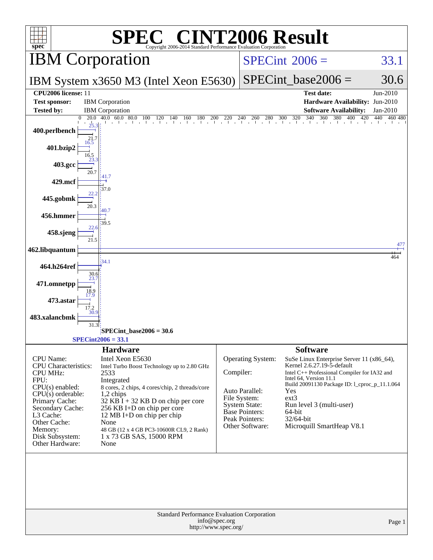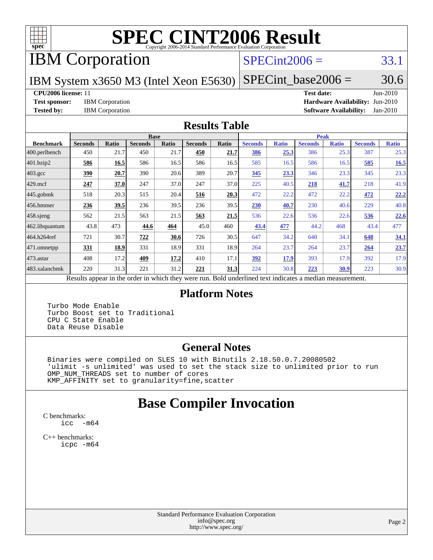

# **[SPEC CINT2006 Result](http://www.spec.org/auto/cpu2006/Docs/result-fields.html#SPECCINT2006Result)**

# IBM Corporation

# $SPECint2006 = 33.1$  $SPECint2006 = 33.1$

IBM System x3650 M3 (Intel Xeon E5630)

 $SPECTnt\_base2006 = 30.6$ 

#### **[CPU2006 license:](http://www.spec.org/auto/cpu2006/Docs/result-fields.html#CPU2006license)** 11 **[Test date:](http://www.spec.org/auto/cpu2006/Docs/result-fields.html#Testdate)** Jun-2010

**[Test sponsor:](http://www.spec.org/auto/cpu2006/Docs/result-fields.html#Testsponsor)** IBM Corporation **[Hardware Availability:](http://www.spec.org/auto/cpu2006/Docs/result-fields.html#HardwareAvailability)** Jun-2010 **[Tested by:](http://www.spec.org/auto/cpu2006/Docs/result-fields.html#Testedby)** IBM Corporation **[Software Availability:](http://www.spec.org/auto/cpu2006/Docs/result-fields.html#SoftwareAvailability)** Jan-2010

#### **[Results Table](http://www.spec.org/auto/cpu2006/Docs/result-fields.html#ResultsTable)**

|                    |                |                 |                | <b>Base</b> |                |             |                             |              | <b>Peak</b>    |              |                |              |
|--------------------|----------------|-----------------|----------------|-------------|----------------|-------------|-----------------------------|--------------|----------------|--------------|----------------|--------------|
| <b>Benchmark</b>   | <b>Seconds</b> | Ratio           | <b>Seconds</b> | Ratio       | <b>Seconds</b> | Ratio       | <b>Seconds</b>              | <b>Ratio</b> | <b>Seconds</b> | <b>Ratio</b> | <b>Seconds</b> | <b>Ratio</b> |
| 400.perlbench      | 450            | 21.7            | 450            | 21.7        | 450            | 21.7        | 386                         | 25.3         | 386            | 25.3         | 387            | 25.3         |
| 401.bzip2          | 586            | 16.5            | 586            | 16.5        | 586            | 16.5        | 585                         | 16.5         | 586            | 16.5         | 585            | 16.5         |
| $403.\mathrm{gcc}$ | 390            | 20.7            | 390            | 20.6        | 389            | 20.7        | 345                         | 23.3         | 346            | 23.3         | 345            | 23.3         |
| $429$ mcf          | 247            | 37.0            | 247            | 37.0        | 247            | 37.0        | 225                         | 40.5         | 218            | 41.7         | 218            | 41.9         |
| $445$ .gobmk       | 518            | 20.3            | 515            | 20.4        | 516            | 20.3        | 472                         | 22.2         | 472            | 22.2         | 472            | 22.2         |
| $456.$ hmmer       | 236            | 39.5            | 236            | 39.5        | 236            | 39.5        | 230                         | 40.7         | 230            | 40.6         | 229            | 40.8         |
| $458$ .sjeng       | 562            | 21.5            | 563            | 21.5        | 563            | 21.5        | 536                         | 22.6         | 536            | 22.6         | 536            | 22.6         |
| 462.libquantum     | 43.8           | 473             | 44.6           | 464         | 45.0           | 460         | 43.4                        | 477          | 44.2           | 468          | 43.4           | 477          |
| 464.h264ref        | 721            | 30.7            | 722            | 30.6        | 726            | 30.5        | 647                         | 34.2         | 648            | 34.1         | 648            | 34.1         |
| 471.omnetpp        | 331            | 18.9            | 331            | 18.9        | 331            | 18.9        | 264                         | 23.7         | 264            | 23.7         | 264            | 23.7         |
| $473.$ astar       | 408            | 17.2            | 409            | 17.2        | 410            | 17.1        | 392                         | 17.9         | 393            | 17.9         | 392            | 17.9         |
| 483.xalancbmk      | 220            | 31.3            | 221            | 31.2        | 221            | 31.3        | 224                         | 30.8         | 223            | <u>30.9</u>  | 223            | 30.9         |
| <sub>n</sub>       | 1.             | $\cdot$ $\cdot$ |                | 1.1.1       |                | <b>D</b> 11 | $1 \quad 1$<br>$\mathbf{1}$ | $\cdot$      |                |              |                |              |

Results appear in the [order in which they were run.](http://www.spec.org/auto/cpu2006/Docs/result-fields.html#RunOrder) Bold underlined text [indicates a median measurement.](http://www.spec.org/auto/cpu2006/Docs/result-fields.html#Median)

### **[Platform Notes](http://www.spec.org/auto/cpu2006/Docs/result-fields.html#PlatformNotes)**

 Turbo Mode Enable Turbo Boost set to Traditional CPU C State Enable Data Reuse Disable

### **[General Notes](http://www.spec.org/auto/cpu2006/Docs/result-fields.html#GeneralNotes)**

 Binaries were compiled on SLES 10 with Binutils 2.18.50.0.7.20080502 'ulimit -s unlimited' was used to set the stack size to unlimited prior to run OMP\_NUM\_THREADS set to number of cores KMP\_AFFINITY set to granularity=fine,scatter

# **[Base Compiler Invocation](http://www.spec.org/auto/cpu2006/Docs/result-fields.html#BaseCompilerInvocation)**

[C benchmarks](http://www.spec.org/auto/cpu2006/Docs/result-fields.html#Cbenchmarks): [icc -m64](http://www.spec.org/cpu2006/results/res2010q3/cpu2006-20100621-11849.flags.html#user_CCbase_intel_icc_64bit_f346026e86af2a669e726fe758c88044)

[C++ benchmarks:](http://www.spec.org/auto/cpu2006/Docs/result-fields.html#CXXbenchmarks) [icpc -m64](http://www.spec.org/cpu2006/results/res2010q3/cpu2006-20100621-11849.flags.html#user_CXXbase_intel_icpc_64bit_fc66a5337ce925472a5c54ad6a0de310)

> Standard Performance Evaluation Corporation [info@spec.org](mailto:info@spec.org) <http://www.spec.org/>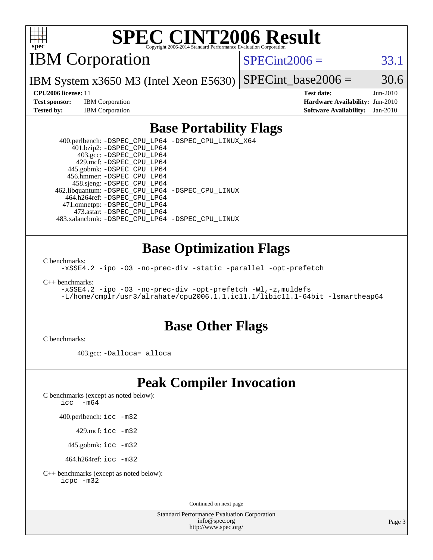

# **[SPEC CINT2006 Result](http://www.spec.org/auto/cpu2006/Docs/result-fields.html#SPECCINT2006Result)**

IBM Corporation

 $SPECint2006 = 33.1$  $SPECint2006 = 33.1$ 

IBM System x3650 M3 (Intel Xeon E5630) SPECint base2006 =  $30.6$ 

**[Test sponsor:](http://www.spec.org/auto/cpu2006/Docs/result-fields.html#Testsponsor)** IBM Corporation **[Hardware Availability:](http://www.spec.org/auto/cpu2006/Docs/result-fields.html#HardwareAvailability)** Jun-2010

**[CPU2006 license:](http://www.spec.org/auto/cpu2006/Docs/result-fields.html#CPU2006license)** 11 **[Test date:](http://www.spec.org/auto/cpu2006/Docs/result-fields.html#Testdate)** Jun-2010 **[Tested by:](http://www.spec.org/auto/cpu2006/Docs/result-fields.html#Testedby)** IBM Corporation **[Software Availability:](http://www.spec.org/auto/cpu2006/Docs/result-fields.html#SoftwareAvailability)** Jan-2010

# **[Base Portability Flags](http://www.spec.org/auto/cpu2006/Docs/result-fields.html#BasePortabilityFlags)**

 400.perlbench: [-DSPEC\\_CPU\\_LP64](http://www.spec.org/cpu2006/results/res2010q3/cpu2006-20100621-11849.flags.html#b400.perlbench_basePORTABILITY_DSPEC_CPU_LP64) [-DSPEC\\_CPU\\_LINUX\\_X64](http://www.spec.org/cpu2006/results/res2010q3/cpu2006-20100621-11849.flags.html#b400.perlbench_baseCPORTABILITY_DSPEC_CPU_LINUX_X64) 401.bzip2: [-DSPEC\\_CPU\\_LP64](http://www.spec.org/cpu2006/results/res2010q3/cpu2006-20100621-11849.flags.html#suite_basePORTABILITY401_bzip2_DSPEC_CPU_LP64) 403.gcc: [-DSPEC\\_CPU\\_LP64](http://www.spec.org/cpu2006/results/res2010q3/cpu2006-20100621-11849.flags.html#suite_basePORTABILITY403_gcc_DSPEC_CPU_LP64) 429.mcf: [-DSPEC\\_CPU\\_LP64](http://www.spec.org/cpu2006/results/res2010q3/cpu2006-20100621-11849.flags.html#suite_basePORTABILITY429_mcf_DSPEC_CPU_LP64) 445.gobmk: [-DSPEC\\_CPU\\_LP64](http://www.spec.org/cpu2006/results/res2010q3/cpu2006-20100621-11849.flags.html#suite_basePORTABILITY445_gobmk_DSPEC_CPU_LP64) 456.hmmer: [-DSPEC\\_CPU\\_LP64](http://www.spec.org/cpu2006/results/res2010q3/cpu2006-20100621-11849.flags.html#suite_basePORTABILITY456_hmmer_DSPEC_CPU_LP64) 458.sjeng: [-DSPEC\\_CPU\\_LP64](http://www.spec.org/cpu2006/results/res2010q3/cpu2006-20100621-11849.flags.html#suite_basePORTABILITY458_sjeng_DSPEC_CPU_LP64) 462.libquantum: [-DSPEC\\_CPU\\_LP64](http://www.spec.org/cpu2006/results/res2010q3/cpu2006-20100621-11849.flags.html#suite_basePORTABILITY462_libquantum_DSPEC_CPU_LP64) [-DSPEC\\_CPU\\_LINUX](http://www.spec.org/cpu2006/results/res2010q3/cpu2006-20100621-11849.flags.html#b462.libquantum_baseCPORTABILITY_DSPEC_CPU_LINUX) 464.h264ref: [-DSPEC\\_CPU\\_LP64](http://www.spec.org/cpu2006/results/res2010q3/cpu2006-20100621-11849.flags.html#suite_basePORTABILITY464_h264ref_DSPEC_CPU_LP64) 471.omnetpp: [-DSPEC\\_CPU\\_LP64](http://www.spec.org/cpu2006/results/res2010q3/cpu2006-20100621-11849.flags.html#suite_basePORTABILITY471_omnetpp_DSPEC_CPU_LP64) 473.astar: [-DSPEC\\_CPU\\_LP64](http://www.spec.org/cpu2006/results/res2010q3/cpu2006-20100621-11849.flags.html#suite_basePORTABILITY473_astar_DSPEC_CPU_LP64) 483.xalancbmk: [-DSPEC\\_CPU\\_LP64](http://www.spec.org/cpu2006/results/res2010q3/cpu2006-20100621-11849.flags.html#suite_basePORTABILITY483_xalancbmk_DSPEC_CPU_LP64) [-DSPEC\\_CPU\\_LINUX](http://www.spec.org/cpu2006/results/res2010q3/cpu2006-20100621-11849.flags.html#b483.xalancbmk_baseCXXPORTABILITY_DSPEC_CPU_LINUX)

### **[Base Optimization Flags](http://www.spec.org/auto/cpu2006/Docs/result-fields.html#BaseOptimizationFlags)**

[C benchmarks](http://www.spec.org/auto/cpu2006/Docs/result-fields.html#Cbenchmarks):

[-xSSE4.2](http://www.spec.org/cpu2006/results/res2010q3/cpu2006-20100621-11849.flags.html#user_CCbase_f-xSSE42_f91528193cf0b216347adb8b939d4107) [-ipo](http://www.spec.org/cpu2006/results/res2010q3/cpu2006-20100621-11849.flags.html#user_CCbase_f-ipo) [-O3](http://www.spec.org/cpu2006/results/res2010q3/cpu2006-20100621-11849.flags.html#user_CCbase_f-O3) [-no-prec-div](http://www.spec.org/cpu2006/results/res2010q3/cpu2006-20100621-11849.flags.html#user_CCbase_f-no-prec-div) [-static](http://www.spec.org/cpu2006/results/res2010q3/cpu2006-20100621-11849.flags.html#user_CCbase_f-static) [-parallel](http://www.spec.org/cpu2006/results/res2010q3/cpu2006-20100621-11849.flags.html#user_CCbase_f-parallel) [-opt-prefetch](http://www.spec.org/cpu2006/results/res2010q3/cpu2006-20100621-11849.flags.html#user_CCbase_f-opt-prefetch)

[C++ benchmarks:](http://www.spec.org/auto/cpu2006/Docs/result-fields.html#CXXbenchmarks)

```
-xSSE4.2 -ipo -O3 -no-prec-div -opt-prefetch -Wl,-z,muldefs
-L/home/cmplr/usr3/alrahate/cpu2006.1.1.ic11.1/libic11.1-64bit -lsmartheap64
```
### **[Base Other Flags](http://www.spec.org/auto/cpu2006/Docs/result-fields.html#BaseOtherFlags)**

[C benchmarks](http://www.spec.org/auto/cpu2006/Docs/result-fields.html#Cbenchmarks):

403.gcc: [-Dalloca=\\_alloca](http://www.spec.org/cpu2006/results/res2010q3/cpu2006-20100621-11849.flags.html#b403.gcc_baseEXTRA_CFLAGS_Dalloca_be3056838c12de2578596ca5467af7f3)

# **[Peak Compiler Invocation](http://www.spec.org/auto/cpu2006/Docs/result-fields.html#PeakCompilerInvocation)**

[C benchmarks \(except as noted below\)](http://www.spec.org/auto/cpu2006/Docs/result-fields.html#Cbenchmarksexceptasnotedbelow):

icc  $-m64$ 

400.perlbench: [icc -m32](http://www.spec.org/cpu2006/results/res2010q3/cpu2006-20100621-11849.flags.html#user_peakCCLD400_perlbench_intel_icc_32bit_a6a621f8d50482236b970c6ac5f55f93)

429.mcf: [icc -m32](http://www.spec.org/cpu2006/results/res2010q3/cpu2006-20100621-11849.flags.html#user_peakCCLD429_mcf_intel_icc_32bit_a6a621f8d50482236b970c6ac5f55f93)

445.gobmk: [icc -m32](http://www.spec.org/cpu2006/results/res2010q3/cpu2006-20100621-11849.flags.html#user_peakCCLD445_gobmk_intel_icc_32bit_a6a621f8d50482236b970c6ac5f55f93)

464.h264ref: [icc -m32](http://www.spec.org/cpu2006/results/res2010q3/cpu2006-20100621-11849.flags.html#user_peakCCLD464_h264ref_intel_icc_32bit_a6a621f8d50482236b970c6ac5f55f93)

[C++ benchmarks \(except as noted below\):](http://www.spec.org/auto/cpu2006/Docs/result-fields.html#CXXbenchmarksexceptasnotedbelow) [icpc -m32](http://www.spec.org/cpu2006/results/res2010q3/cpu2006-20100621-11849.flags.html#user_CXXpeak_intel_icpc_32bit_4e5a5ef1a53fd332b3c49e69c3330699)

Continued on next page

Standard Performance Evaluation Corporation [info@spec.org](mailto:info@spec.org) <http://www.spec.org/>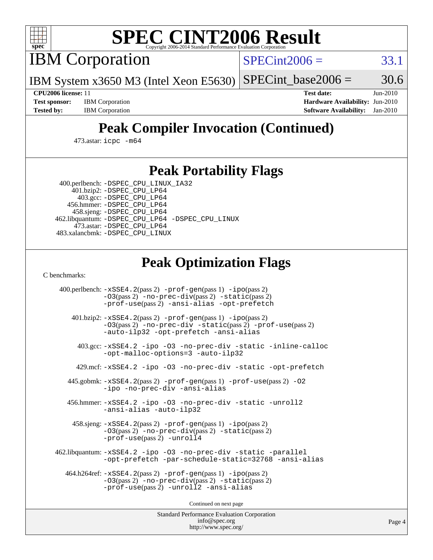

# **[SPEC CINT2006 Result](http://www.spec.org/auto/cpu2006/Docs/result-fields.html#SPECCINT2006Result)**

IBM Corporation

 $SPECint2006 = 33.1$  $SPECint2006 = 33.1$ 

IBM System x3650 M3 (Intel Xeon E5630)  $SPECTnt\_base2006 = 30.6$ 

**[CPU2006 license:](http://www.spec.org/auto/cpu2006/Docs/result-fields.html#CPU2006license)** 11 **[Test date:](http://www.spec.org/auto/cpu2006/Docs/result-fields.html#Testdate)** Jun-2010 **[Test sponsor:](http://www.spec.org/auto/cpu2006/Docs/result-fields.html#Testsponsor)** IBM Corporation **[Hardware Availability:](http://www.spec.org/auto/cpu2006/Docs/result-fields.html#HardwareAvailability)** Jun-2010 **[Tested by:](http://www.spec.org/auto/cpu2006/Docs/result-fields.html#Testedby)** IBM Corporation **[Software Availability:](http://www.spec.org/auto/cpu2006/Docs/result-fields.html#SoftwareAvailability)** Jan-2010

# **[Peak Compiler Invocation \(Continued\)](http://www.spec.org/auto/cpu2006/Docs/result-fields.html#PeakCompilerInvocation)**

473.astar: [icpc -m64](http://www.spec.org/cpu2006/results/res2010q3/cpu2006-20100621-11849.flags.html#user_peakCXXLD473_astar_intel_icpc_64bit_fc66a5337ce925472a5c54ad6a0de310)

# **[Peak Portability Flags](http://www.spec.org/auto/cpu2006/Docs/result-fields.html#PeakPortabilityFlags)**

 400.perlbench: [-DSPEC\\_CPU\\_LINUX\\_IA32](http://www.spec.org/cpu2006/results/res2010q3/cpu2006-20100621-11849.flags.html#b400.perlbench_peakCPORTABILITY_DSPEC_CPU_LINUX_IA32) 401.bzip2: [-DSPEC\\_CPU\\_LP64](http://www.spec.org/cpu2006/results/res2010q3/cpu2006-20100621-11849.flags.html#suite_peakPORTABILITY401_bzip2_DSPEC_CPU_LP64)

 403.gcc: [-DSPEC\\_CPU\\_LP64](http://www.spec.org/cpu2006/results/res2010q3/cpu2006-20100621-11849.flags.html#suite_peakPORTABILITY403_gcc_DSPEC_CPU_LP64) 456.hmmer: [-DSPEC\\_CPU\\_LP64](http://www.spec.org/cpu2006/results/res2010q3/cpu2006-20100621-11849.flags.html#suite_peakPORTABILITY456_hmmer_DSPEC_CPU_LP64) 458.sjeng: [-DSPEC\\_CPU\\_LP64](http://www.spec.org/cpu2006/results/res2010q3/cpu2006-20100621-11849.flags.html#suite_peakPORTABILITY458_sjeng_DSPEC_CPU_LP64) 462.libquantum: [-DSPEC\\_CPU\\_LP64](http://www.spec.org/cpu2006/results/res2010q3/cpu2006-20100621-11849.flags.html#suite_peakPORTABILITY462_libquantum_DSPEC_CPU_LP64) [-DSPEC\\_CPU\\_LINUX](http://www.spec.org/cpu2006/results/res2010q3/cpu2006-20100621-11849.flags.html#b462.libquantum_peakCPORTABILITY_DSPEC_CPU_LINUX) 473.astar: [-DSPEC\\_CPU\\_LP64](http://www.spec.org/cpu2006/results/res2010q3/cpu2006-20100621-11849.flags.html#suite_peakPORTABILITY473_astar_DSPEC_CPU_LP64) 483.xalancbmk: [-DSPEC\\_CPU\\_LINUX](http://www.spec.org/cpu2006/results/res2010q3/cpu2006-20100621-11849.flags.html#b483.xalancbmk_peakCXXPORTABILITY_DSPEC_CPU_LINUX)

# **[Peak Optimization Flags](http://www.spec.org/auto/cpu2006/Docs/result-fields.html#PeakOptimizationFlags)**

[C benchmarks](http://www.spec.org/auto/cpu2006/Docs/result-fields.html#Cbenchmarks):

 400.perlbench: [-xSSE4.2](http://www.spec.org/cpu2006/results/res2010q3/cpu2006-20100621-11849.flags.html#user_peakPASS2_CFLAGSPASS2_LDCFLAGS400_perlbench_f-xSSE42_f91528193cf0b216347adb8b939d4107)(pass 2) [-prof-gen](http://www.spec.org/cpu2006/results/res2010q3/cpu2006-20100621-11849.flags.html#user_peakPASS1_CFLAGSPASS1_LDCFLAGS400_perlbench_prof_gen_e43856698f6ca7b7e442dfd80e94a8fc)(pass 1) [-ipo](http://www.spec.org/cpu2006/results/res2010q3/cpu2006-20100621-11849.flags.html#user_peakPASS2_CFLAGSPASS2_LDCFLAGS400_perlbench_f-ipo)(pass 2) [-O3](http://www.spec.org/cpu2006/results/res2010q3/cpu2006-20100621-11849.flags.html#user_peakPASS2_CFLAGSPASS2_LDCFLAGS400_perlbench_f-O3)(pass 2) [-no-prec-div](http://www.spec.org/cpu2006/results/res2010q3/cpu2006-20100621-11849.flags.html#user_peakPASS2_CFLAGSPASS2_LDCFLAGS400_perlbench_f-no-prec-div)(pass 2) [-static](http://www.spec.org/cpu2006/results/res2010q3/cpu2006-20100621-11849.flags.html#user_peakPASS2_CFLAGSPASS2_LDCFLAGS400_perlbench_f-static)(pass 2) [-prof-use](http://www.spec.org/cpu2006/results/res2010q3/cpu2006-20100621-11849.flags.html#user_peakPASS2_CFLAGSPASS2_LDCFLAGS400_perlbench_prof_use_bccf7792157ff70d64e32fe3e1250b55)(pass 2) [-ansi-alias](http://www.spec.org/cpu2006/results/res2010q3/cpu2006-20100621-11849.flags.html#user_peakCOPTIMIZE400_perlbench_f-ansi-alias) [-opt-prefetch](http://www.spec.org/cpu2006/results/res2010q3/cpu2006-20100621-11849.flags.html#user_peakCOPTIMIZE400_perlbench_f-opt-prefetch) 401.bzip2: [-xSSE4.2](http://www.spec.org/cpu2006/results/res2010q3/cpu2006-20100621-11849.flags.html#user_peakPASS2_CFLAGSPASS2_LDCFLAGS401_bzip2_f-xSSE42_f91528193cf0b216347adb8b939d4107)(pass 2) [-prof-gen](http://www.spec.org/cpu2006/results/res2010q3/cpu2006-20100621-11849.flags.html#user_peakPASS1_CFLAGSPASS1_LDCFLAGS401_bzip2_prof_gen_e43856698f6ca7b7e442dfd80e94a8fc)(pass 1) [-ipo](http://www.spec.org/cpu2006/results/res2010q3/cpu2006-20100621-11849.flags.html#user_peakPASS2_CFLAGSPASS2_LDCFLAGS401_bzip2_f-ipo)(pass 2) [-O3](http://www.spec.org/cpu2006/results/res2010q3/cpu2006-20100621-11849.flags.html#user_peakPASS2_CFLAGSPASS2_LDCFLAGS401_bzip2_f-O3)(pass 2) [-no-prec-div](http://www.spec.org/cpu2006/results/res2010q3/cpu2006-20100621-11849.flags.html#user_peakCOPTIMIZEPASS2_CFLAGSPASS2_LDCFLAGS401_bzip2_f-no-prec-div) [-static](http://www.spec.org/cpu2006/results/res2010q3/cpu2006-20100621-11849.flags.html#user_peakPASS2_CFLAGSPASS2_LDCFLAGS401_bzip2_f-static)(pass 2) [-prof-use](http://www.spec.org/cpu2006/results/res2010q3/cpu2006-20100621-11849.flags.html#user_peakPASS2_CFLAGSPASS2_LDCFLAGS401_bzip2_prof_use_bccf7792157ff70d64e32fe3e1250b55)(pass 2) [-auto-ilp32](http://www.spec.org/cpu2006/results/res2010q3/cpu2006-20100621-11849.flags.html#user_peakCOPTIMIZE401_bzip2_f-auto-ilp32) [-opt-prefetch](http://www.spec.org/cpu2006/results/res2010q3/cpu2006-20100621-11849.flags.html#user_peakCOPTIMIZE401_bzip2_f-opt-prefetch) [-ansi-alias](http://www.spec.org/cpu2006/results/res2010q3/cpu2006-20100621-11849.flags.html#user_peakCOPTIMIZE401_bzip2_f-ansi-alias) 403.gcc: [-xSSE4.2](http://www.spec.org/cpu2006/results/res2010q3/cpu2006-20100621-11849.flags.html#user_peakCOPTIMIZE403_gcc_f-xSSE42_f91528193cf0b216347adb8b939d4107) [-ipo](http://www.spec.org/cpu2006/results/res2010q3/cpu2006-20100621-11849.flags.html#user_peakCOPTIMIZE403_gcc_f-ipo) [-O3](http://www.spec.org/cpu2006/results/res2010q3/cpu2006-20100621-11849.flags.html#user_peakCOPTIMIZE403_gcc_f-O3) [-no-prec-div](http://www.spec.org/cpu2006/results/res2010q3/cpu2006-20100621-11849.flags.html#user_peakCOPTIMIZE403_gcc_f-no-prec-div) [-static](http://www.spec.org/cpu2006/results/res2010q3/cpu2006-20100621-11849.flags.html#user_peakCOPTIMIZE403_gcc_f-static) [-inline-calloc](http://www.spec.org/cpu2006/results/res2010q3/cpu2006-20100621-11849.flags.html#user_peakCOPTIMIZE403_gcc_f-inline-calloc) [-opt-malloc-options=3](http://www.spec.org/cpu2006/results/res2010q3/cpu2006-20100621-11849.flags.html#user_peakCOPTIMIZE403_gcc_f-opt-malloc-options_13ab9b803cf986b4ee62f0a5998c2238) [-auto-ilp32](http://www.spec.org/cpu2006/results/res2010q3/cpu2006-20100621-11849.flags.html#user_peakCOPTIMIZE403_gcc_f-auto-ilp32) 429.mcf: [-xSSE4.2](http://www.spec.org/cpu2006/results/res2010q3/cpu2006-20100621-11849.flags.html#user_peakCOPTIMIZE429_mcf_f-xSSE42_f91528193cf0b216347adb8b939d4107) [-ipo](http://www.spec.org/cpu2006/results/res2010q3/cpu2006-20100621-11849.flags.html#user_peakCOPTIMIZE429_mcf_f-ipo) [-O3](http://www.spec.org/cpu2006/results/res2010q3/cpu2006-20100621-11849.flags.html#user_peakCOPTIMIZE429_mcf_f-O3) [-no-prec-div](http://www.spec.org/cpu2006/results/res2010q3/cpu2006-20100621-11849.flags.html#user_peakCOPTIMIZE429_mcf_f-no-prec-div) [-static](http://www.spec.org/cpu2006/results/res2010q3/cpu2006-20100621-11849.flags.html#user_peakCOPTIMIZE429_mcf_f-static) [-opt-prefetch](http://www.spec.org/cpu2006/results/res2010q3/cpu2006-20100621-11849.flags.html#user_peakCOPTIMIZE429_mcf_f-opt-prefetch) 445.gobmk: [-xSSE4.2](http://www.spec.org/cpu2006/results/res2010q3/cpu2006-20100621-11849.flags.html#user_peakPASS2_CFLAGSPASS2_LDCFLAGS445_gobmk_f-xSSE42_f91528193cf0b216347adb8b939d4107)(pass 2) [-prof-gen](http://www.spec.org/cpu2006/results/res2010q3/cpu2006-20100621-11849.flags.html#user_peakPASS1_CFLAGSPASS1_LDCFLAGS445_gobmk_prof_gen_e43856698f6ca7b7e442dfd80e94a8fc)(pass 1) [-prof-use](http://www.spec.org/cpu2006/results/res2010q3/cpu2006-20100621-11849.flags.html#user_peakPASS2_CFLAGSPASS2_LDCFLAGS445_gobmk_prof_use_bccf7792157ff70d64e32fe3e1250b55)(pass 2) [-O2](http://www.spec.org/cpu2006/results/res2010q3/cpu2006-20100621-11849.flags.html#user_peakCOPTIMIZE445_gobmk_f-O2) [-ipo](http://www.spec.org/cpu2006/results/res2010q3/cpu2006-20100621-11849.flags.html#user_peakCOPTIMIZE445_gobmk_f-ipo) [-no-prec-div](http://www.spec.org/cpu2006/results/res2010q3/cpu2006-20100621-11849.flags.html#user_peakCOPTIMIZE445_gobmk_f-no-prec-div) [-ansi-alias](http://www.spec.org/cpu2006/results/res2010q3/cpu2006-20100621-11849.flags.html#user_peakCOPTIMIZE445_gobmk_f-ansi-alias) 456.hmmer: [-xSSE4.2](http://www.spec.org/cpu2006/results/res2010q3/cpu2006-20100621-11849.flags.html#user_peakCOPTIMIZE456_hmmer_f-xSSE42_f91528193cf0b216347adb8b939d4107) [-ipo](http://www.spec.org/cpu2006/results/res2010q3/cpu2006-20100621-11849.flags.html#user_peakCOPTIMIZE456_hmmer_f-ipo) [-O3](http://www.spec.org/cpu2006/results/res2010q3/cpu2006-20100621-11849.flags.html#user_peakCOPTIMIZE456_hmmer_f-O3) [-no-prec-div](http://www.spec.org/cpu2006/results/res2010q3/cpu2006-20100621-11849.flags.html#user_peakCOPTIMIZE456_hmmer_f-no-prec-div) [-static](http://www.spec.org/cpu2006/results/res2010q3/cpu2006-20100621-11849.flags.html#user_peakCOPTIMIZE456_hmmer_f-static) [-unroll2](http://www.spec.org/cpu2006/results/res2010q3/cpu2006-20100621-11849.flags.html#user_peakCOPTIMIZE456_hmmer_f-unroll_784dae83bebfb236979b41d2422d7ec2) [-ansi-alias](http://www.spec.org/cpu2006/results/res2010q3/cpu2006-20100621-11849.flags.html#user_peakCOPTIMIZE456_hmmer_f-ansi-alias) [-auto-ilp32](http://www.spec.org/cpu2006/results/res2010q3/cpu2006-20100621-11849.flags.html#user_peakCOPTIMIZE456_hmmer_f-auto-ilp32) 458.sjeng: [-xSSE4.2](http://www.spec.org/cpu2006/results/res2010q3/cpu2006-20100621-11849.flags.html#user_peakPASS2_CFLAGSPASS2_LDCFLAGS458_sjeng_f-xSSE42_f91528193cf0b216347adb8b939d4107)(pass 2) [-prof-gen](http://www.spec.org/cpu2006/results/res2010q3/cpu2006-20100621-11849.flags.html#user_peakPASS1_CFLAGSPASS1_LDCFLAGS458_sjeng_prof_gen_e43856698f6ca7b7e442dfd80e94a8fc)(pass 1) [-ipo](http://www.spec.org/cpu2006/results/res2010q3/cpu2006-20100621-11849.flags.html#user_peakPASS2_CFLAGSPASS2_LDCFLAGS458_sjeng_f-ipo)(pass 2) [-O3](http://www.spec.org/cpu2006/results/res2010q3/cpu2006-20100621-11849.flags.html#user_peakPASS2_CFLAGSPASS2_LDCFLAGS458_sjeng_f-O3)(pass 2) [-no-prec-div](http://www.spec.org/cpu2006/results/res2010q3/cpu2006-20100621-11849.flags.html#user_peakPASS2_CFLAGSPASS2_LDCFLAGS458_sjeng_f-no-prec-div)(pass 2) [-static](http://www.spec.org/cpu2006/results/res2010q3/cpu2006-20100621-11849.flags.html#user_peakPASS2_CFLAGSPASS2_LDCFLAGS458_sjeng_f-static)(pass 2) [-prof-use](http://www.spec.org/cpu2006/results/res2010q3/cpu2006-20100621-11849.flags.html#user_peakPASS2_CFLAGSPASS2_LDCFLAGS458_sjeng_prof_use_bccf7792157ff70d64e32fe3e1250b55)(pass 2) [-unroll4](http://www.spec.org/cpu2006/results/res2010q3/cpu2006-20100621-11849.flags.html#user_peakCOPTIMIZE458_sjeng_f-unroll_4e5e4ed65b7fd20bdcd365bec371b81f) 462.libquantum: [-xSSE4.2](http://www.spec.org/cpu2006/results/res2010q3/cpu2006-20100621-11849.flags.html#user_peakCOPTIMIZE462_libquantum_f-xSSE42_f91528193cf0b216347adb8b939d4107) [-ipo](http://www.spec.org/cpu2006/results/res2010q3/cpu2006-20100621-11849.flags.html#user_peakCOPTIMIZE462_libquantum_f-ipo) [-O3](http://www.spec.org/cpu2006/results/res2010q3/cpu2006-20100621-11849.flags.html#user_peakCOPTIMIZE462_libquantum_f-O3) [-no-prec-div](http://www.spec.org/cpu2006/results/res2010q3/cpu2006-20100621-11849.flags.html#user_peakCOPTIMIZE462_libquantum_f-no-prec-div) [-static](http://www.spec.org/cpu2006/results/res2010q3/cpu2006-20100621-11849.flags.html#user_peakCOPTIMIZE462_libquantum_f-static) [-parallel](http://www.spec.org/cpu2006/results/res2010q3/cpu2006-20100621-11849.flags.html#user_peakCOPTIMIZE462_libquantum_f-parallel) [-opt-prefetch](http://www.spec.org/cpu2006/results/res2010q3/cpu2006-20100621-11849.flags.html#user_peakCOPTIMIZE462_libquantum_f-opt-prefetch) [-par-schedule-static=32768](http://www.spec.org/cpu2006/results/res2010q3/cpu2006-20100621-11849.flags.html#user_peakCOPTIMIZE462_libquantum_f-par-schedule_9386bcd99ba64e99ee01d1aafefddd14) [-ansi-alias](http://www.spec.org/cpu2006/results/res2010q3/cpu2006-20100621-11849.flags.html#user_peakCOPTIMIZE462_libquantum_f-ansi-alias) 464.h264ref: [-xSSE4.2](http://www.spec.org/cpu2006/results/res2010q3/cpu2006-20100621-11849.flags.html#user_peakPASS2_CFLAGSPASS2_LDCFLAGS464_h264ref_f-xSSE42_f91528193cf0b216347adb8b939d4107)(pass 2) [-prof-gen](http://www.spec.org/cpu2006/results/res2010q3/cpu2006-20100621-11849.flags.html#user_peakPASS1_CFLAGSPASS1_LDCFLAGS464_h264ref_prof_gen_e43856698f6ca7b7e442dfd80e94a8fc)(pass 1) [-ipo](http://www.spec.org/cpu2006/results/res2010q3/cpu2006-20100621-11849.flags.html#user_peakPASS2_CFLAGSPASS2_LDCFLAGS464_h264ref_f-ipo)(pass 2) [-O3](http://www.spec.org/cpu2006/results/res2010q3/cpu2006-20100621-11849.flags.html#user_peakPASS2_CFLAGSPASS2_LDCFLAGS464_h264ref_f-O3)(pass 2) [-no-prec-div](http://www.spec.org/cpu2006/results/res2010q3/cpu2006-20100621-11849.flags.html#user_peakPASS2_CFLAGSPASS2_LDCFLAGS464_h264ref_f-no-prec-div)(pass 2) [-static](http://www.spec.org/cpu2006/results/res2010q3/cpu2006-20100621-11849.flags.html#user_peakPASS2_CFLAGSPASS2_LDCFLAGS464_h264ref_f-static)(pass 2) [-prof-use](http://www.spec.org/cpu2006/results/res2010q3/cpu2006-20100621-11849.flags.html#user_peakPASS2_CFLAGSPASS2_LDCFLAGS464_h264ref_prof_use_bccf7792157ff70d64e32fe3e1250b55)(pass 2) [-unroll2](http://www.spec.org/cpu2006/results/res2010q3/cpu2006-20100621-11849.flags.html#user_peakCOPTIMIZE464_h264ref_f-unroll_784dae83bebfb236979b41d2422d7ec2) [-ansi-alias](http://www.spec.org/cpu2006/results/res2010q3/cpu2006-20100621-11849.flags.html#user_peakCOPTIMIZE464_h264ref_f-ansi-alias)

Continued on next page

Standard Performance Evaluation Corporation [info@spec.org](mailto:info@spec.org) <http://www.spec.org/>